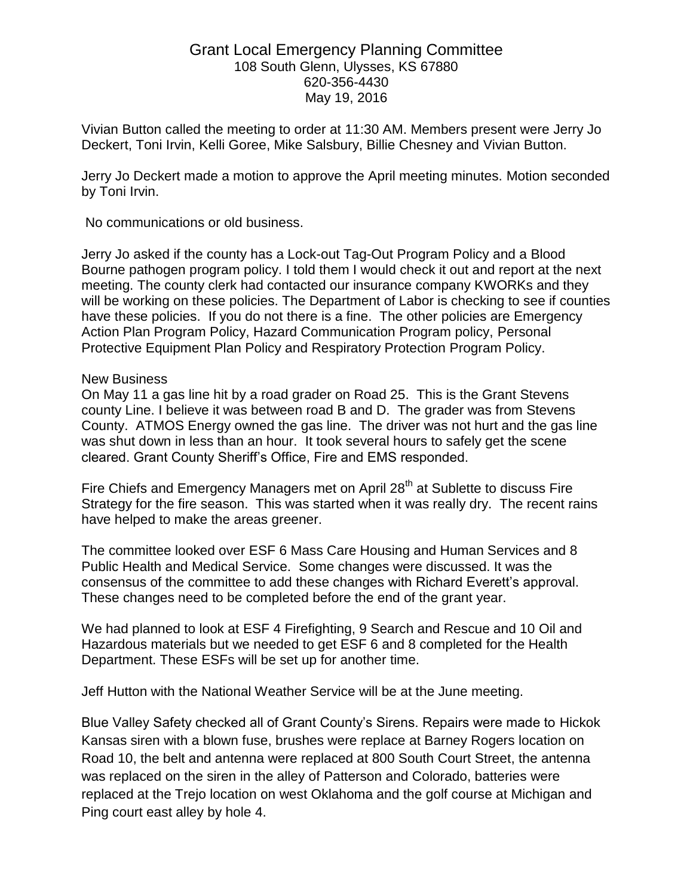## Grant Local Emergency Planning Committee 108 South Glenn, Ulysses, KS 67880 620-356-4430 May 19, 2016

Vivian Button called the meeting to order at 11:30 AM. Members present were Jerry Jo Deckert, Toni Irvin, Kelli Goree, Mike Salsbury, Billie Chesney and Vivian Button.

Jerry Jo Deckert made a motion to approve the April meeting minutes. Motion seconded by Toni Irvin.

No communications or old business.

Jerry Jo asked if the county has a Lock-out Tag-Out Program Policy and a Blood Bourne pathogen program policy. I told them I would check it out and report at the next meeting. The county clerk had contacted our insurance company KWORKs and they will be working on these policies. The Department of Labor is checking to see if counties have these policies. If you do not there is a fine. The other policies are Emergency Action Plan Program Policy, Hazard Communication Program policy, Personal Protective Equipment Plan Policy and Respiratory Protection Program Policy.

## New Business

On May 11 a gas line hit by a road grader on Road 25. This is the Grant Stevens county Line. I believe it was between road B and D. The grader was from Stevens County. ATMOS Energy owned the gas line. The driver was not hurt and the gas line was shut down in less than an hour. It took several hours to safely get the scene cleared. Grant County Sheriff's Office, Fire and EMS responded.

Fire Chiefs and Emergency Managers met on April 28<sup>th</sup> at Sublette to discuss Fire Strategy for the fire season. This was started when it was really dry. The recent rains have helped to make the areas greener.

The committee looked over ESF 6 Mass Care Housing and Human Services and 8 Public Health and Medical Service. Some changes were discussed. It was the consensus of the committee to add these changes with Richard Everett's approval. These changes need to be completed before the end of the grant year.

We had planned to look at ESF 4 Firefighting, 9 Search and Rescue and 10 Oil and Hazardous materials but we needed to get ESF 6 and 8 completed for the Health Department. These ESFs will be set up for another time.

Jeff Hutton with the National Weather Service will be at the June meeting.

Blue Valley Safety checked all of Grant County's Sirens. Repairs were made to Hickok Kansas siren with a blown fuse, brushes were replace at Barney Rogers location on Road 10, the belt and antenna were replaced at 800 South Court Street, the antenna was replaced on the siren in the alley of Patterson and Colorado, batteries were replaced at the Trejo location on west Oklahoma and the golf course at Michigan and Ping court east alley by hole 4.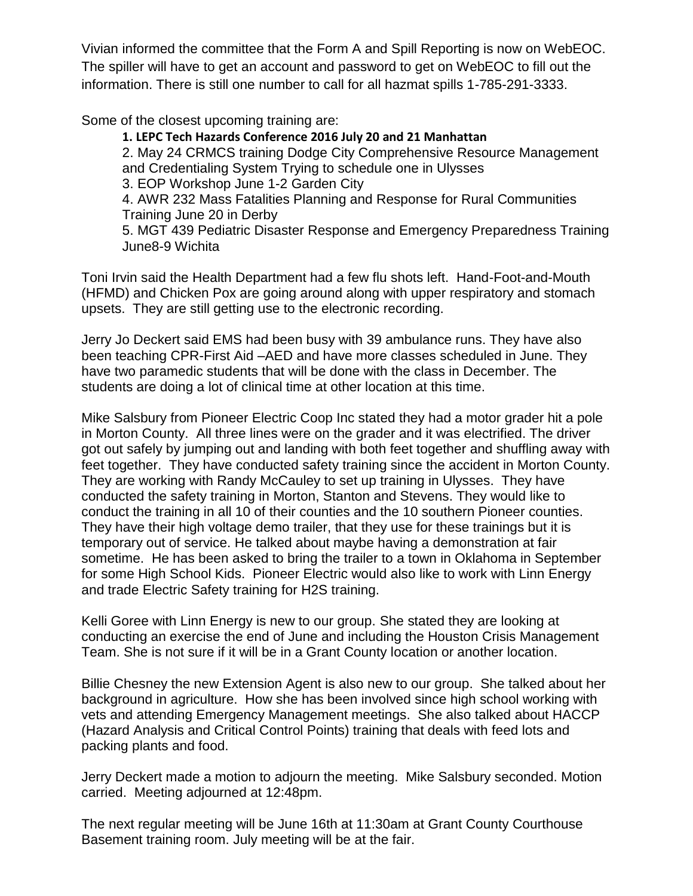Vivian informed the committee that the Form A and Spill Reporting is now on WebEOC. The spiller will have to get an account and password to get on WebEOC to fill out the information. There is still one number to call for all hazmat spills 1-785-291-3333.

Some of the closest upcoming training are:

**1. LEPC Tech Hazards Conference 2016 July 20 and 21 Manhattan** 2. May 24 CRMCS training Dodge City Comprehensive Resource Management and Credentialing System Trying to schedule one in Ulysses 3. EOP Workshop June 1-2 Garden City 4. AWR 232 Mass Fatalities Planning and Response for Rural Communities Training June 20 in Derby 5. MGT 439 Pediatric Disaster Response and Emergency Preparedness Training June8-9 Wichita

Toni Irvin said the Health Department had a few flu shots left. Hand-Foot-and-Mouth (HFMD) and Chicken Pox are going around along with upper respiratory and stomach upsets. They are still getting use to the electronic recording.

Jerry Jo Deckert said EMS had been busy with 39 ambulance runs. They have also been teaching CPR-First Aid –AED and have more classes scheduled in June. They have two paramedic students that will be done with the class in December. The students are doing a lot of clinical time at other location at this time.

Mike Salsbury from Pioneer Electric Coop Inc stated they had a motor grader hit a pole in Morton County. All three lines were on the grader and it was electrified. The driver got out safely by jumping out and landing with both feet together and shuffling away with feet together. They have conducted safety training since the accident in Morton County. They are working with Randy McCauley to set up training in Ulysses. They have conducted the safety training in Morton, Stanton and Stevens. They would like to conduct the training in all 10 of their counties and the 10 southern Pioneer counties. They have their high voltage demo trailer, that they use for these trainings but it is temporary out of service. He talked about maybe having a demonstration at fair sometime. He has been asked to bring the trailer to a town in Oklahoma in September for some High School Kids. Pioneer Electric would also like to work with Linn Energy and trade Electric Safety training for H2S training.

Kelli Goree with Linn Energy is new to our group. She stated they are looking at conducting an exercise the end of June and including the Houston Crisis Management Team. She is not sure if it will be in a Grant County location or another location.

Billie Chesney the new Extension Agent is also new to our group. She talked about her background in agriculture. How she has been involved since high school working with vets and attending Emergency Management meetings. She also talked about HACCP (Hazard Analysis and Critical Control Points) training that deals with feed lots and packing plants and food.

Jerry Deckert made a motion to adjourn the meeting. Mike Salsbury seconded. Motion carried. Meeting adjourned at 12:48pm.

The next regular meeting will be June 16th at 11:30am at Grant County Courthouse Basement training room. July meeting will be at the fair.